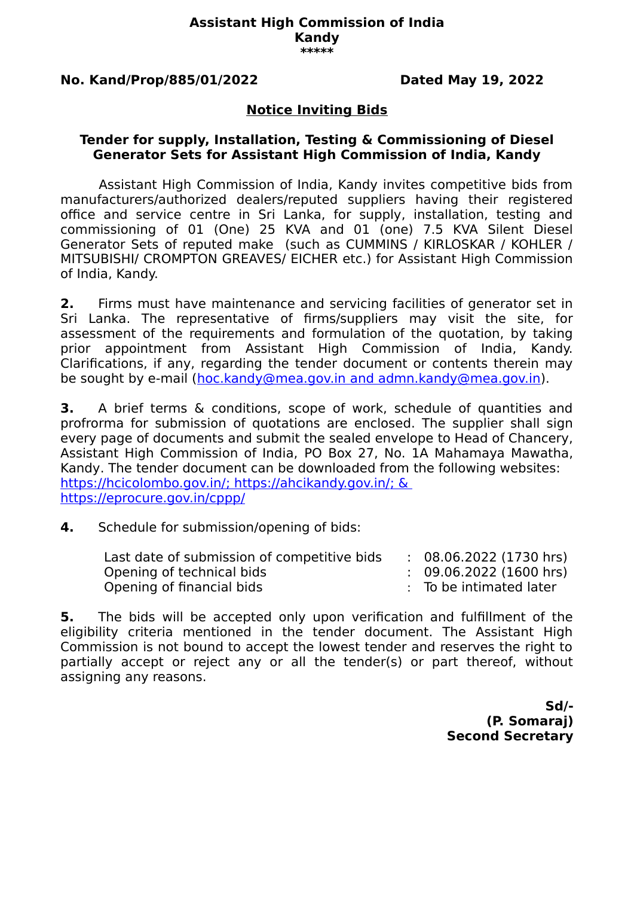#### **Assistant High Commission of India Kandy \*\*\*\*\***

### **No. Kand/Prop/885/01/2022 Dated May 19, 2022**

## **Notice Inviting Bids**

### **Tender for supply, Installation, Testing & Commissioning of Diesel Generator Sets for Assistant High Commission of India, Kandy**

Assistant High Commission of India, Kandy invites competitive bids from manufacturers/authorized dealers/reputed suppliers having their registered office and service centre in Sri Lanka, for supply, installation, testing and commissioning of 01 (One) 25 KVA and 01 (one) 7.5 KVA Silent Diesel Generator Sets of reputed make (such as CUMMINS / KIRLOSKAR / KOHLER / MITSUBISHI/ CROMPTON GREAVES/ EICHER etc.) for Assistant High Commission of India, Kandy.

**2.** Firms must have maintenance and servicing facilities of generator set in Sri Lanka. The representative of firms/suppliers may visit the site, for assessment of the requirements and formulation of the quotation, by taking prior appointment from Assistant High Commission of India, Kandy. Clarifications, if any, regarding the tender document or contents therein may be sought by e-mail ( [hoc.kandy@mea.gov.in](mailto:hoc.kandy@mea.gov.in) and admn.kandy@mea.gov.in).

**3.** A brief terms & conditions, scope of work, schedule of quantities and profrorma for submission of quotations are enclosed. The supplier shall sign every page of documents and submit the sealed envelope to Head of Chancery, Assistant High Commission of India, PO Box 27, No. 1A Mahamaya Mawatha, Kandy. The tender document can be downloaded from the following websites: https://hcicolombo.gov.in/;<https://ahcikandy.gov.in/>; & https://eprocure.gov.in/cppp/

**4.** Schedule for submission/opening of bids:

| Last date of submission of competitive bids | $\therefore$ 08.06.2022 (1730 hrs) |
|---------------------------------------------|------------------------------------|
| Opening of technical bids                   | $\therefore$ 09.06.2022 (1600 hrs) |
| Opening of financial bids                   | : To be intimated later            |

**5.** The bids will be accepted only upon verification and fulfillment of the eligibility criteria mentioned in the tender document. The Assistant High Commission is not bound to accept the lowest tender and reserves the right to partially accept or reject any or all the tender(s) or part thereof, without assigning any reasons.

> **Sd/- (P. Somaraj) Second Secretary**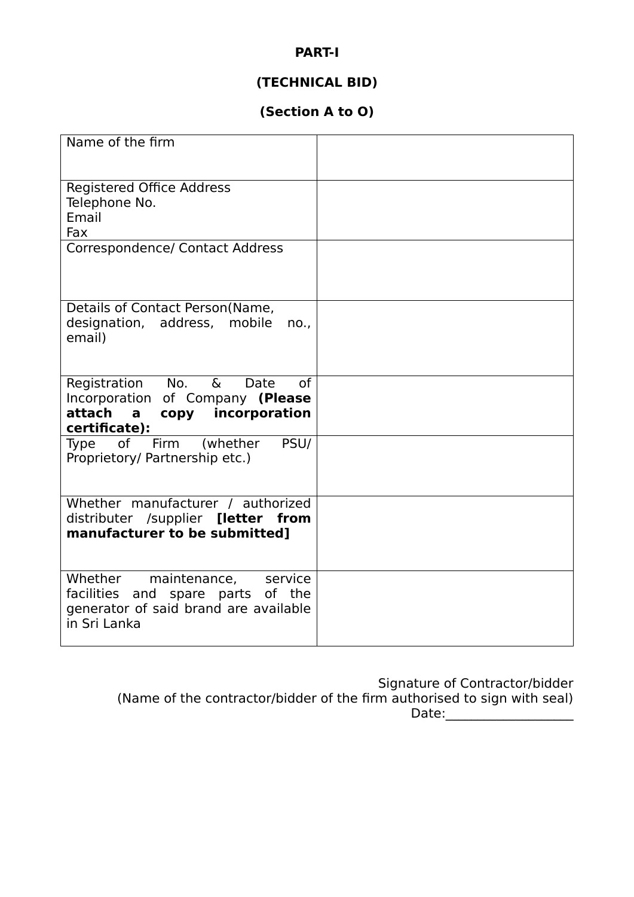## **PART-I**

# **(TECHNICAL BID)**

# **(Section A to O)**

| Name of the firm                                                                                                                 |  |
|----------------------------------------------------------------------------------------------------------------------------------|--|
| <b>Registered Office Address</b><br>Telephone No.<br>Email<br>Fax                                                                |  |
| Correspondence/ Contact Address                                                                                                  |  |
| Details of Contact Person(Name,<br>designation, address, mobile<br>no.<br>email)                                                 |  |
| Registration No. &<br>Date<br>of<br>Incorporation of Company (Please<br>attach a<br>copy incorporation<br>certificate):          |  |
| Type of Firm (whether PSU/<br>Proprietory/ Partnership etc.)                                                                     |  |
| Whether manufacturer / authorized<br>distributer /supplier [letter from<br>manufacturer to be submitted]                         |  |
| Whether<br>maintenance,<br>service<br>facilities and spare parts of the<br>generator of said brand are available<br>in Sri Lanka |  |

Signature of Contractor/bidder (Name of the contractor/bidder of the firm authorised to sign with seal) Date:\_\_\_\_\_\_\_\_\_\_\_\_\_\_\_\_\_\_\_\_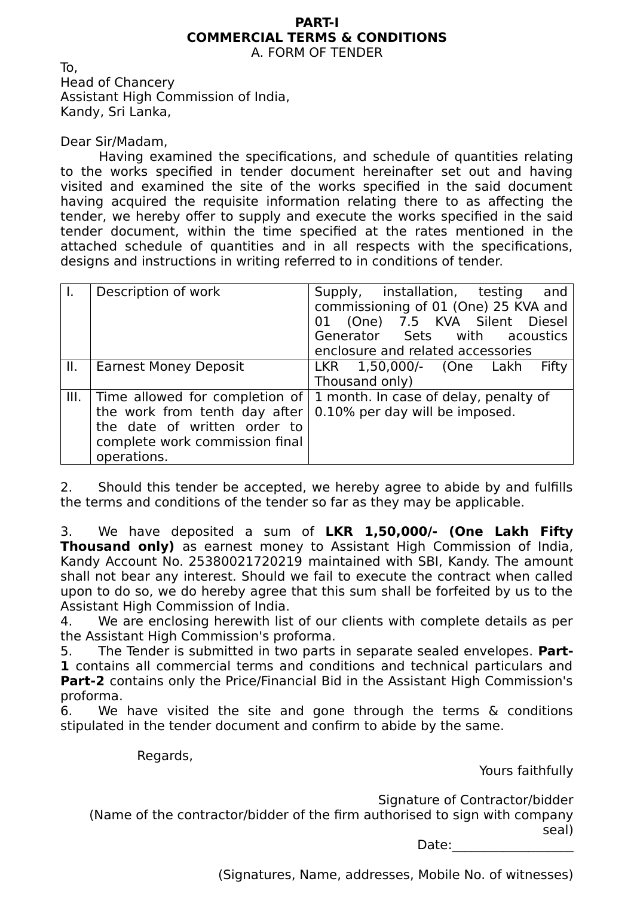#### **PART-I COMMERCIAL TERMS & CONDITIONS** A. FORM OF TENDER

To, Head of Chancery Assistant High Commission of India, Kandy, Sri Lanka,

Dear Sir/Madam,

Having examined the specifications, and schedule of quantities relating to the works specified in tender document hereinafter set out and having visited and examined the site of the works specified in the said document having acquired the requisite information relating there to as affecting the tender, we hereby offer to supply and execute the works specified in the said tender document, within the time specified at the rates mentioned in the attached schedule of quantities and in all respects with the specifications, designs and instructions in writing referred to in conditions of tender.

|      | Description of work                                                                                                                              | Supply, installation, testing<br>and<br>commissioning of 01 (One) 25 KVA and<br>01 (One) 7.5 KVA Silent Diesel<br>Generator Sets with acoustics<br>enclosure and related accessories |
|------|--------------------------------------------------------------------------------------------------------------------------------------------------|--------------------------------------------------------------------------------------------------------------------------------------------------------------------------------------|
| Ш.   | <b>Earnest Money Deposit</b>                                                                                                                     | LKR 1,50,000/- (One Lakh<br>Fifty<br>Thousand only)                                                                                                                                  |
| III. | Time allowed for completion of<br>the work from tenth day after<br>the date of written order to<br>complete work commission final<br>operations. | 1 month. In case of delay, penalty of<br>0.10% per day will be imposed.                                                                                                              |

2. Should this tender be accepted, we hereby agree to abide by and fulfills the terms and conditions of the tender so far as they may be applicable.

3. We have deposited a sum of **LKR 1,50,000/- (One Lakh Fifty Thousand only)** as earnest money to Assistant High Commission of India, Kandy Account No. 25380021720219 maintained with SBI, Kandy. The amount shall not bear any interest. Should we fail to execute the contract when called upon to do so, we do hereby agree that this sum shall be forfeited by us to the Assistant High Commission of India.

4. We are enclosing herewith list of our clients with complete details as per the Assistant High Commission's proforma.

5. The Tender is submitted in two parts in separate sealed envelopes. **Part-1** contains all commercial terms and conditions and technical particulars and **Part-2** contains only the Price/Financial Bid in the Assistant High Commission's proforma.

6. We have visited the site and gone through the terms & conditions stipulated in the tender document and confirm to abide by the same.

Regards,

Yours faithfully

Signature of Contractor/bidder

(Name of the contractor/bidder of the firm authorised to sign with company seal)

Date:

(Signatures, Name, addresses, Mobile No. of witnesses)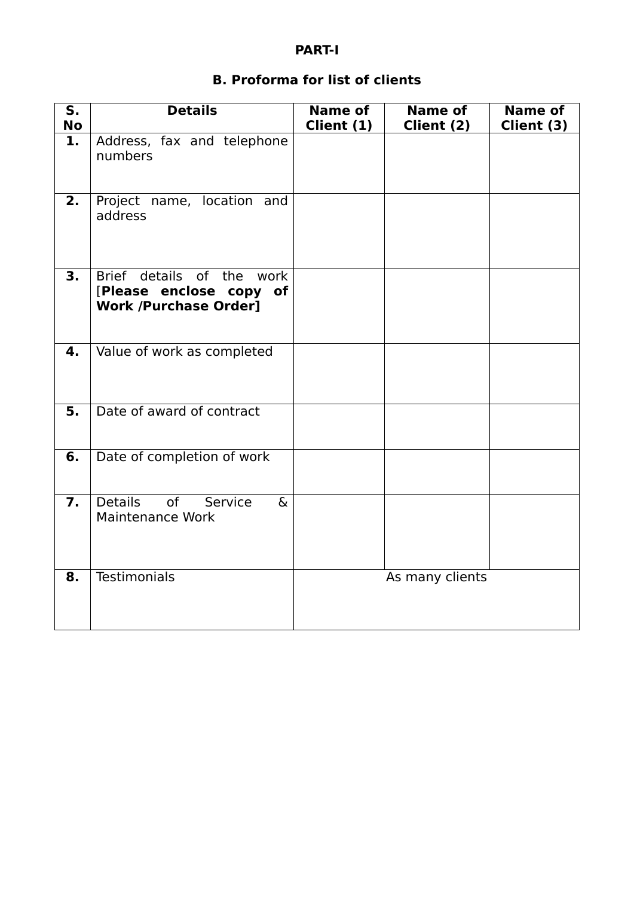# **PART-I**

# **B. Proforma for list of clients**

| S <sub>1</sub><br>No | <b>Details</b>                                                                       | <b>Name of</b><br>Client (1) | <b>Name of</b><br>Client (2) | <b>Name of</b><br>Client (3) |
|----------------------|--------------------------------------------------------------------------------------|------------------------------|------------------------------|------------------------------|
| 1.                   | Address, fax and telephone<br>numbers                                                |                              |                              |                              |
| 2.                   | Project name, location and<br>address                                                |                              |                              |                              |
| $\overline{3}$ .     | Brief details of the work<br>[Please enclose copy of<br><b>Work /Purchase Order]</b> |                              |                              |                              |
| 4.                   | Value of work as completed                                                           |                              |                              |                              |
| 5.                   | Date of award of contract                                                            |                              |                              |                              |
| 6.                   | Date of completion of work                                                           |                              |                              |                              |
| $\overline{7}$ .     | <b>Details</b><br>of<br>Service<br>$\delta$<br><b>Maintenance Work</b>               |                              |                              |                              |
| 8.                   | <b>Testimonials</b>                                                                  |                              | As many clients              |                              |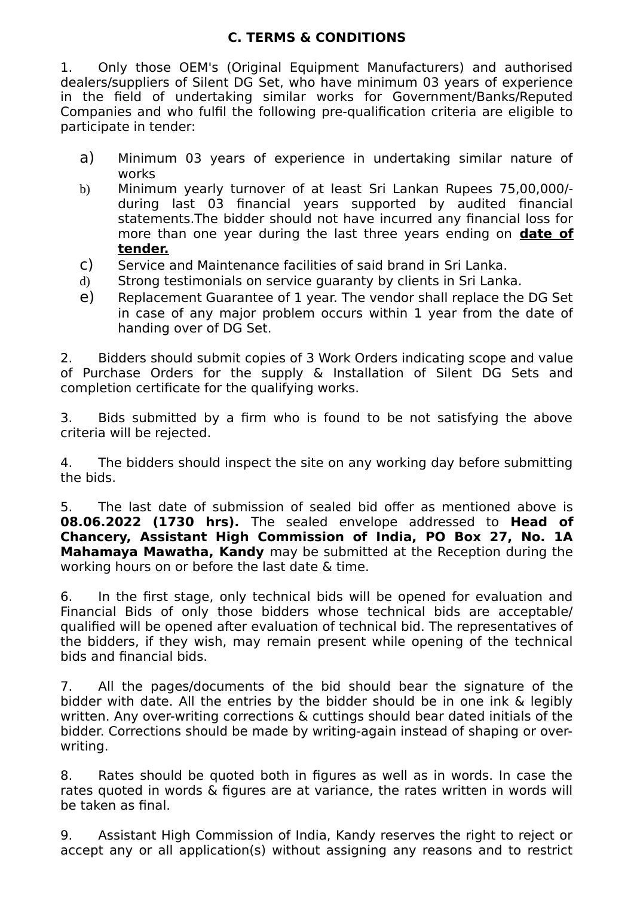# **C. TERMS & CONDITIONS**

1. Only those OEM's (Original Equipment Manufacturers) and authorised dealers/suppliers of Silent DG Set, who have minimum 03 years of experience in the field of undertaking similar works for Government/Banks/Reputed Companies and who fulfil the following pre-qualification criteria are eligible to participate in tender:

- a) Minimum 03 years of experience in undertaking similar nature of works
- b) Minimum yearly turnover of at least Sri Lankan Rupees 75,00,000/ during last 03 financial years supported by audited financial statements.The bidder should not have incurred any financial loss for more than one year during the last three years ending on **date of tender.**
- c) Service and Maintenance facilities of said brand in Sri Lanka.
- d) Strong testimonials on service guaranty by clients in Sri Lanka.
- e) Replacement Guarantee of 1 year. The vendor shall replace the DG Set in case of any major problem occurs within 1 year from the date of handing over of DG Set.

2. Bidders should submit copies of 3 Work Orders indicating scope and value of Purchase Orders for the supply & Installation of Silent DG Sets and completion certificate for the qualifying works.

3. Bids submitted by a firm who is found to be not satisfying the above criteria will be rejected.

4. The bidders should inspect the site on any working day before submitting the bids.

5. The last date of submission of sealed bid offer as mentioned above is **08.06.2022 (1730 hrs).** The sealed envelope addressed to **Head of Chancery, Assistant High Commission of India, PO Box 27, No. 1A Mahamaya Mawatha, Kandy** may be submitted at the Reception during the working hours on or before the last date & time.

6. In the first stage, only technical bids will be opened for evaluation and Financial Bids of only those bidders whose technical bids are acceptable/ qualified will be opened after evaluation of technical bid. The representatives of the bidders, if they wish, may remain present while opening of the technical bids and financial bids.

7. All the pages/documents of the bid should bear the signature of the bidder with date. All the entries by the bidder should be in one ink & legibly written. Any over-writing corrections & cuttings should bear dated initials of the bidder. Corrections should be made by writing-again instead of shaping or overwriting.

8. Rates should be quoted both in figures as well as in words. In case the rates quoted in words & figures are at variance, the rates written in words will be taken as final.

9. Assistant High Commission of India, Kandy reserves the right to reject or accept any or all application(s) without assigning any reasons and to restrict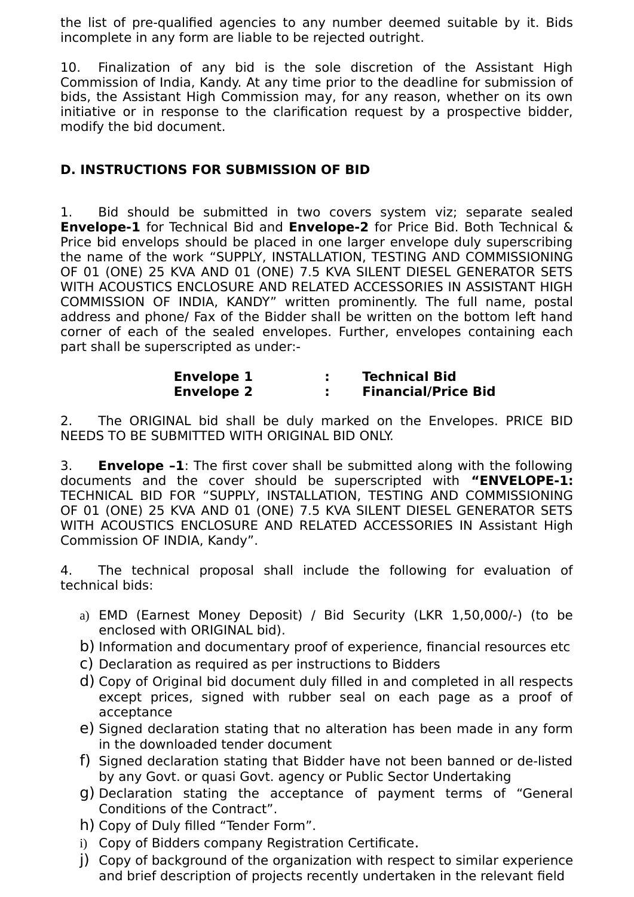the list of pre-qualified agencies to any number deemed suitable by it. Bids incomplete in any form are liable to be rejected outright.

10. Finalization of any bid is the sole discretion of the Assistant High Commission of India, Kandy. At any time prior to the deadline for submission of bids, the Assistant High Commission may, for any reason, whether on its own initiative or in response to the clarification request by a prospective bidder, modify the bid document.

# **D. INSTRUCTIONS FOR SUBMISSION OF BID**

1. Bid should be submitted in two covers system viz; separate sealed **Envelope-1** for Technical Bid and **Envelope-2** for Price Bid. Both Technical & Price bid envelops should be placed in one larger envelope duly superscribing the name of the work "SUPPLY, INSTALLATION, TESTING AND COMMISSIONING OF 01 (ONE) 25 KVA AND 01 (ONE) 7.5 KVA SILENT DIESEL GENERATOR SETS WITH ACOUSTICS ENCLOSURE AND RELATED ACCESSORIES IN ASSISTANT HIGH COMMISSION OF INDIA, KANDY" written prominently. The full name, postal address and phone/ Fax of the Bidder shall be written on the bottom left hand corner of each of the sealed envelopes. Further, envelopes containing each part shall be superscripted as under:-

| <b>Envelope 1</b> | <b>Technical Bid</b>       |
|-------------------|----------------------------|
| <b>Envelope 2</b> | <b>Financial/Price Bid</b> |

2. The ORIGINAL bid shall be duly marked on the Envelopes. PRICE BID NEEDS TO BE SUBMITTED WITH ORIGINAL BID ONLY.

3. **Envelope –1**: The first cover shall be submitted along with the following documents and the cover should be superscripted with **"ENVELOPE-1:** TECHNICAL BID FOR "SUPPLY, INSTALLATION, TESTING AND COMMISSIONING OF 01 (ONE) 25 KVA AND 01 (ONE) 7.5 KVA SILENT DIESEL GENERATOR SETS WITH ACOUSTICS ENCLOSURE AND RELATED ACCESSORIES IN Assistant High Commission OF INDIA, Kandy".

4. The technical proposal shall include the following for evaluation of technical bids:

- a) EMD (Earnest Money Deposit) / Bid Security (LKR 1,50,000/-) (to be enclosed with ORIGINAL bid).
- b) Information and documentary proof of experience, financial resources etc
- c) Declaration as required as per instructions to Bidders
- d) Copy of Original bid document duly filled in and completed in all respects except prices, signed with rubber seal on each page as a proof of acceptance
- e) Signed declaration stating that no alteration has been made in any form in the downloaded tender document
- f) Signed declaration stating that Bidder have not been banned or de-listed by any Govt. or quasi Govt. agency or Public Sector Undertaking
- g) Declaration stating the acceptance of payment terms of "General Conditions of the Contract".
- h) Copy of Duly filled "Tender Form".
- i) Copy of Bidders company Registration Certificate.
- j) Copy of background of the organization with respect to similar experience and brief description of projects recently undertaken in the relevant field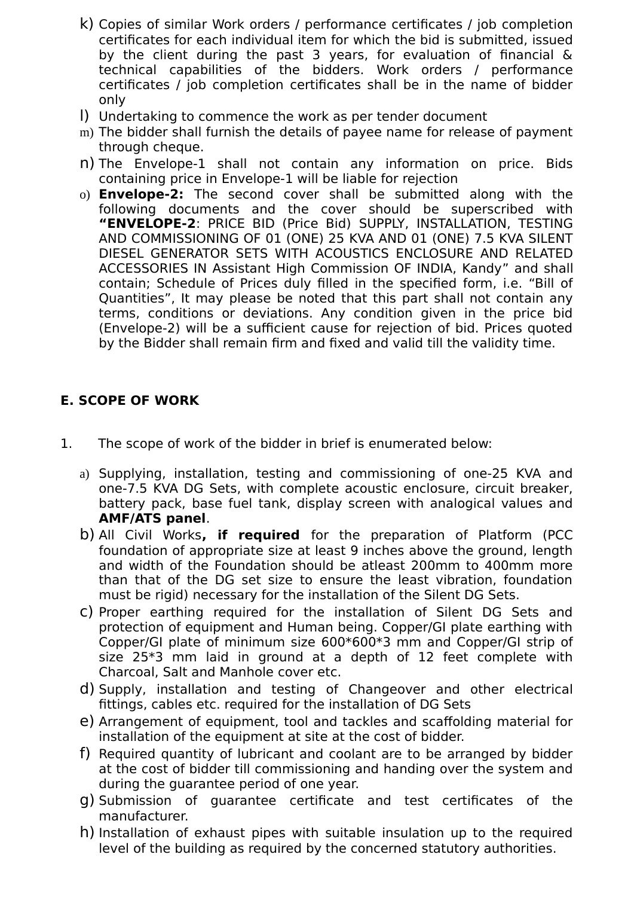- k) Copies of similar Work orders / performance certificates / job completion certificates for each individual item for which the bid is submitted, issued by the client during the past 3 years, for evaluation of financial & technical capabilities of the bidders. Work orders / performance certificates / job completion certificates shall be in the name of bidder only
- l) Undertaking to commence the work as per tender document
- m) The bidder shall furnish the details of payee name for release of payment through cheque.
- n) The Envelope-1 shall not contain any information on price. Bids containing price in Envelope-1 will be liable for rejection
- o) **Envelope-2:** The second cover shall be submitted along with the following documents and the cover should be superscribed with **"ENVELOPE-2**: PRICE BID (Price Bid) SUPPLY, INSTALLATION, TESTING AND COMMISSIONING OF 01 (ONE) 25 KVA AND 01 (ONE) 7.5 KVA SILENT DIESEL GENERATOR SETS WITH ACOUSTICS ENCLOSURE AND RELATED ACCESSORIES IN Assistant High Commission OF INDIA, Kandy" and shall contain; Schedule of Prices duly filled in the specified form, i.e. "Bill of Quantities", It may please be noted that this part shall not contain any terms, conditions or deviations. Any condition given in the price bid (Envelope-2) will be a sufficient cause for rejection of bid. Prices quoted by the Bidder shall remain firm and fixed and valid till the validity time.

# **E. SCOPE OF WORK**

- 1. The scope of work of the bidder in brief is enumerated below:
	- a) Supplying, installation, testing and commissioning of one-25 KVA and one-7.5 KVA DG Sets, with complete acoustic enclosure, circuit breaker, battery pack, base fuel tank, display screen with analogical values and **AMF/ATS panel**.
	- b) All Civil Works**, if required** for the preparation of Platform (PCC foundation of appropriate size at least 9 inches above the ground, length and width of the Foundation should be atleast 200mm to 400mm more than that of the DG set size to ensure the least vibration, foundation must be rigid) necessary for the installation of the Silent DG Sets.
	- c) Proper earthing required for the installation of Silent DG Sets and protection of equipment and Human being. Copper/GI plate earthing with Copper/GI plate of minimum size 600\*600\*3 mm and Copper/GI strip of size 25\*3 mm laid in ground at a depth of 12 feet complete with Charcoal, Salt and Manhole cover etc.
	- d) Supply, installation and testing of Changeover and other electrical fittings, cables etc. required for the installation of DG Sets
	- e) Arrangement of equipment, tool and tackles and scaffolding material for installation of the equipment at site at the cost of bidder.
	- f) Required quantity of lubricant and coolant are to be arranged by bidder at the cost of bidder till commissioning and handing over the system and during the guarantee period of one year.
	- g) Submission of guarantee certificate and test certificates of the manufacturer.
	- h) Installation of exhaust pipes with suitable insulation up to the required level of the building as required by the concerned statutory authorities.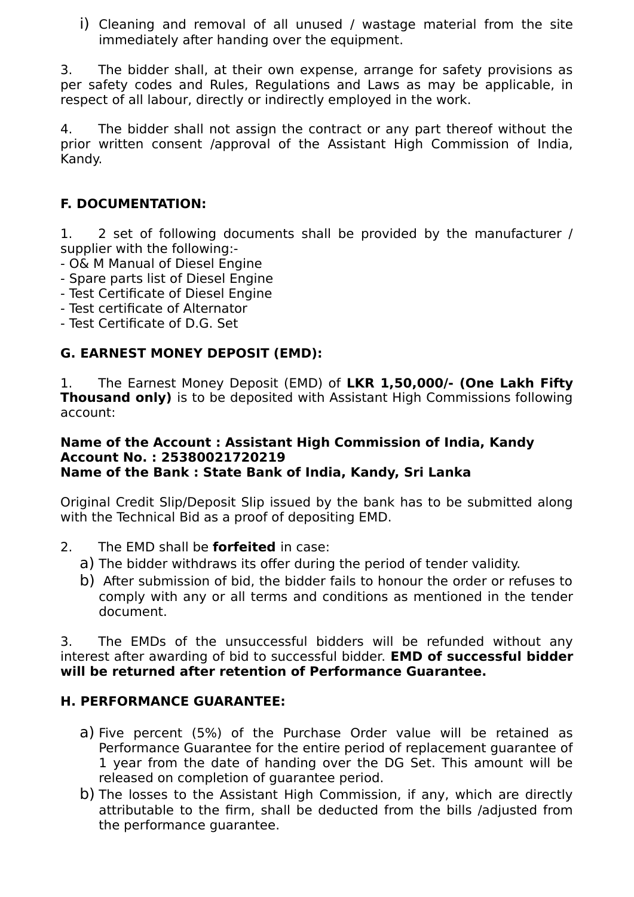i) Cleaning and removal of all unused / wastage material from the site immediately after handing over the equipment.

3. The bidder shall, at their own expense, arrange for safety provisions as per safety codes and Rules, Regulations and Laws as may be applicable, in respect of all labour, directly or indirectly employed in the work.

4. The bidder shall not assign the contract or any part thereof without the prior written consent /approval of the Assistant High Commission of India, Kandy.

# **F. DOCUMENTATION:**

1. 2 set of following documents shall be provided by the manufacturer / supplier with the following:-

- O& M Manual of Diesel Engine
- Spare parts list of Diesel Engine
- Test Certificate of Diesel Engine
- Test certificate of Alternator
- Test Certificate of D.G. Set

# **G. EARNEST MONEY DEPOSIT (EMD):**

1. The Earnest Money Deposit (EMD) of **LKR 1,50,000/- (One Lakh Fifty Thousand only)** is to be deposited with Assistant High Commissions following account:

#### **Name of the Account : Assistant High Commission of India, Kandy Account No. : 25380021720219 Name of the Bank : State Bank of India, Kandy, Sri Lanka**

Original Credit Slip/Deposit Slip issued by the bank has to be submitted along with the Technical Bid as a proof of depositing EMD.

- 2. The EMD shall be **forfeited** in case:
	- a) The bidder withdraws its offer during the period of tender validity.
	- b) After submission of bid, the bidder fails to honour the order or refuses to comply with any or all terms and conditions as mentioned in the tender document.

3. The EMDs of the unsuccessful bidders will be refunded without any interest after awarding of bid to successful bidder. **EMD of successful bidder will be returned after retention of Performance Guarantee.**

# **H. PERFORMANCE GUARANTEE:**

- a) Five percent (5%) of the Purchase Order value will be retained as Performance Guarantee for the entire period of replacement guarantee of 1 year from the date of handing over the DG Set. This amount will be released on completion of guarantee period.
- b) The losses to the Assistant High Commission, if any, which are directly attributable to the firm, shall be deducted from the bills /adjusted from the performance guarantee.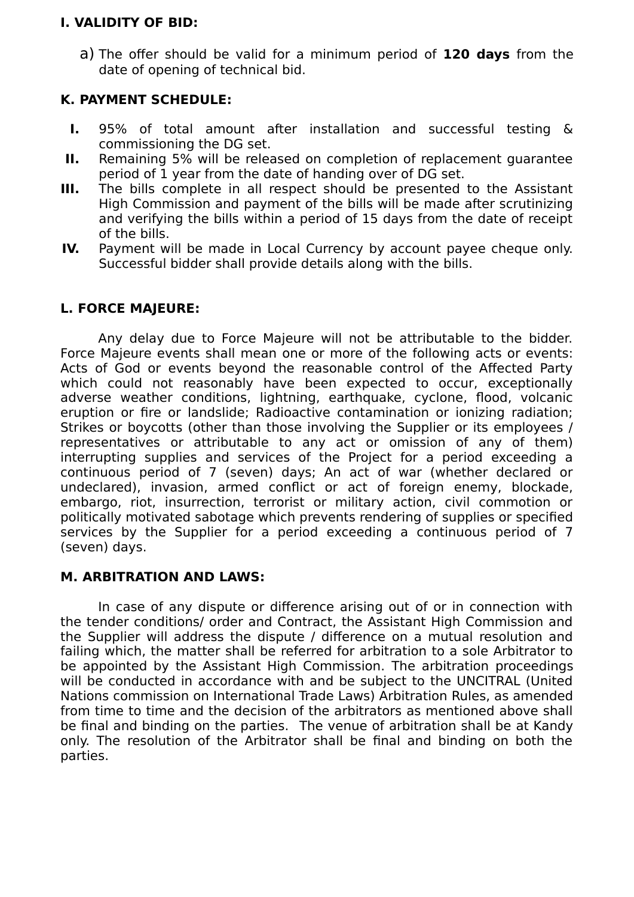## **I. VALIDITY OF BID:**

a) The offer should be valid for a minimum period of **120 days** from the date of opening of technical bid.

## **K. PAYMENT SCHEDULE:**

- **I.** 95% of total amount after installation and successful testing & commissioning the DG set.
- **II.** Remaining 5% will be released on completion of replacement guarantee period of 1 year from the date of handing over of DG set.
- **III.** The bills complete in all respect should be presented to the Assistant High Commission and payment of the bills will be made after scrutinizing and verifying the bills within a period of 15 days from the date of receipt of the bills.
- **IV.** Payment will be made in Local Currency by account payee cheque only. Successful bidder shall provide details along with the bills.

## **L. FORCE MAJEURE:**

Any delay due to Force Majeure will not be attributable to the bidder. Force Majeure events shall mean one or more of the following acts or events: Acts of God or events beyond the reasonable control of the Affected Party which could not reasonably have been expected to occur, exceptionally adverse weather conditions, lightning, earthquake, cyclone, flood, volcanic eruption or fire or landslide; Radioactive contamination or ionizing radiation; Strikes or boycotts (other than those involving the Supplier or its employees / representatives or attributable to any act or omission of any of them) interrupting supplies and services of the Project for a period exceeding a continuous period of 7 (seven) days; An act of war (whether declared or undeclared), invasion, armed conflict or act of foreign enemy, blockade, embargo, riot, insurrection, terrorist or military action, civil commotion or politically motivated sabotage which prevents rendering of supplies or specified services by the Supplier for a period exceeding a continuous period of 7 (seven) days.

## **M. ARBITRATION AND LAWS:**

In case of any dispute or difference arising out of or in connection with the tender conditions/ order and Contract, the Assistant High Commission and the Supplier will address the dispute / difference on a mutual resolution and failing which, the matter shall be referred for arbitration to a sole Arbitrator to be appointed by the Assistant High Commission. The arbitration proceedings will be conducted in accordance with and be subject to the UNCITRAL (United Nations commission on International Trade Laws) Arbitration Rules, as amended from time to time and the decision of the arbitrators as mentioned above shall be final and binding on the parties. The venue of arbitration shall be at Kandy only. The resolution of the Arbitrator shall be final and binding on both the parties.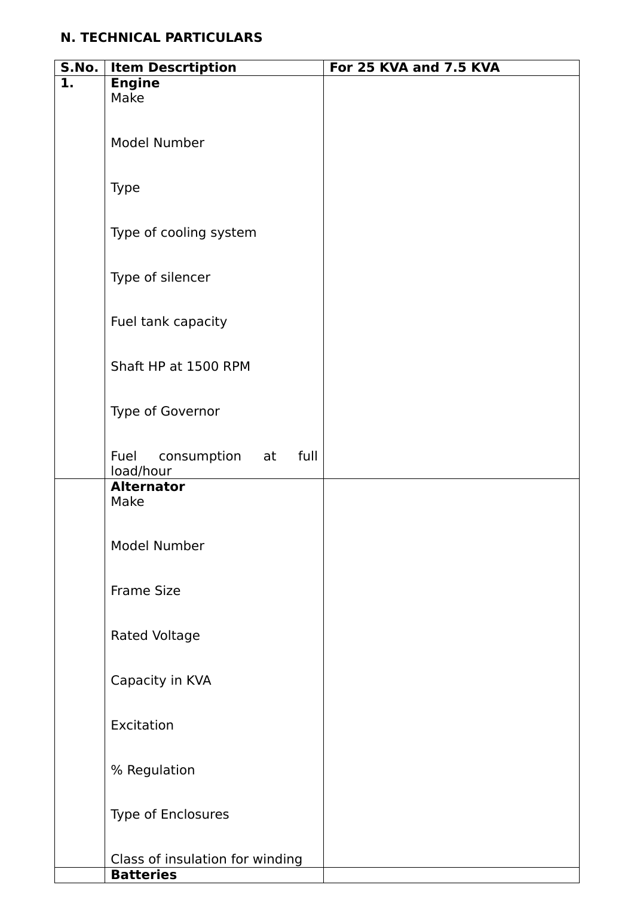# **N. TECHNICAL PARTICULARS**

| S.No. | <b>Item Descrtiption</b>                    | For 25 KVA and 7.5 KVA |
|-------|---------------------------------------------|------------------------|
| 1.    | <b>Engine</b>                               |                        |
|       | Make                                        |                        |
|       |                                             |                        |
|       | Model Number                                |                        |
|       |                                             |                        |
|       |                                             |                        |
|       | Type                                        |                        |
|       |                                             |                        |
|       |                                             |                        |
|       | Type of cooling system                      |                        |
|       |                                             |                        |
|       | Type of silencer                            |                        |
|       |                                             |                        |
|       |                                             |                        |
|       | Fuel tank capacity                          |                        |
|       |                                             |                        |
|       | Shaft HP at 1500 RPM                        |                        |
|       |                                             |                        |
|       |                                             |                        |
|       | Type of Governor                            |                        |
|       |                                             |                        |
|       |                                             |                        |
|       | consumption at<br>full<br>Fuel<br>load/hour |                        |
|       | <b>Alternator</b>                           |                        |
|       | Make                                        |                        |
|       |                                             |                        |
|       |                                             |                        |
|       | Model Number                                |                        |
|       |                                             |                        |
|       | <b>Frame Size</b>                           |                        |
|       |                                             |                        |
|       |                                             |                        |
|       | <b>Rated Voltage</b>                        |                        |
|       |                                             |                        |
|       | Capacity in KVA                             |                        |
|       |                                             |                        |
|       |                                             |                        |
|       | Excitation                                  |                        |
|       |                                             |                        |
|       | % Regulation                                |                        |
|       |                                             |                        |
|       |                                             |                        |
|       | Type of Enclosures                          |                        |
|       |                                             |                        |
|       |                                             |                        |
|       | Class of insulation for winding             |                        |
|       | <b>Batteries</b>                            |                        |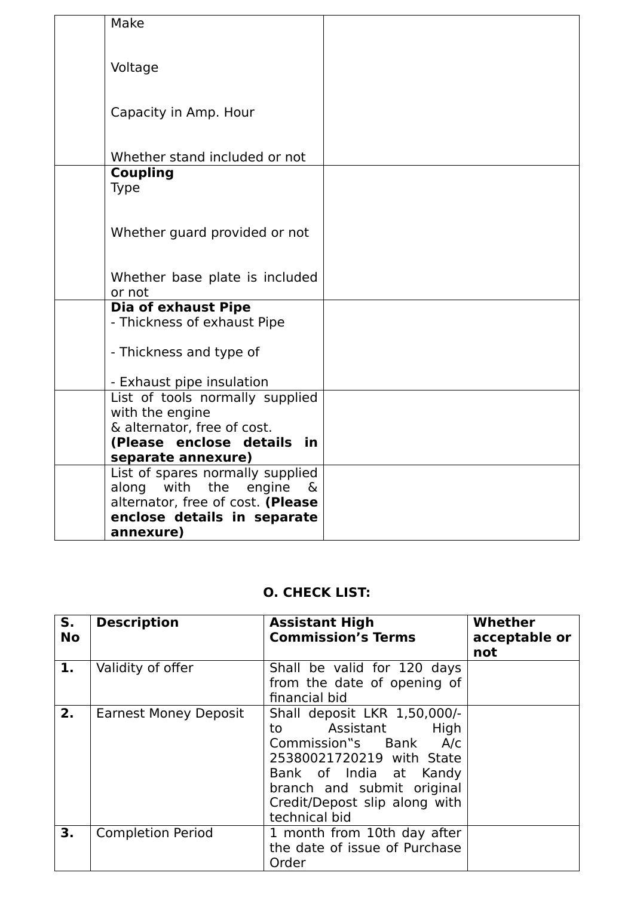| Make                                           |  |
|------------------------------------------------|--|
|                                                |  |
| Voltage                                        |  |
|                                                |  |
| Capacity in Amp. Hour                          |  |
|                                                |  |
|                                                |  |
| Whether stand included or not                  |  |
| <b>Coupling</b><br><b>Type</b>                 |  |
|                                                |  |
|                                                |  |
| Whether guard provided or not                  |  |
|                                                |  |
| Whether base plate is included                 |  |
| or not                                         |  |
| <b>Dia of exhaust Pipe</b>                     |  |
| - Thickness of exhaust Pipe                    |  |
| - Thickness and type of                        |  |
|                                                |  |
| - Exhaust pipe insulation                      |  |
| List of tools normally supplied                |  |
| with the engine<br>& alternator, free of cost. |  |
| (Please enclose details in                     |  |
| separate annexure)                             |  |
| List of spares normally supplied               |  |
| with the<br>along<br>engine<br>&               |  |
| alternator, free of cost. (Please              |  |
| enclose details in separate                    |  |
| annexure)                                      |  |

# **O. CHECK LIST:**

| S.<br><b>No</b> | <b>Description</b>           | <b>Assistant High</b><br><b>Commission's Terms</b>                                                                                                                                                                            | Whether<br>acceptable or<br>not |
|-----------------|------------------------------|-------------------------------------------------------------------------------------------------------------------------------------------------------------------------------------------------------------------------------|---------------------------------|
| 1.              | Validity of offer            | Shall be valid for 120 days<br>from the date of opening of<br>financial bid                                                                                                                                                   |                                 |
| 2.              | <b>Earnest Money Deposit</b> | Shall deposit LKR 1,50,000/-<br>Assistant<br>High<br>to to<br>Commission"s Bank<br>A/c<br>25380021720219 with State<br>Bank of India at Kandy<br>branch and submit original<br>Credit/Depost slip along with<br>technical bid |                                 |
| 3.              | <b>Completion Period</b>     | 1 month from 10th day after<br>the date of issue of Purchase<br>Order                                                                                                                                                         |                                 |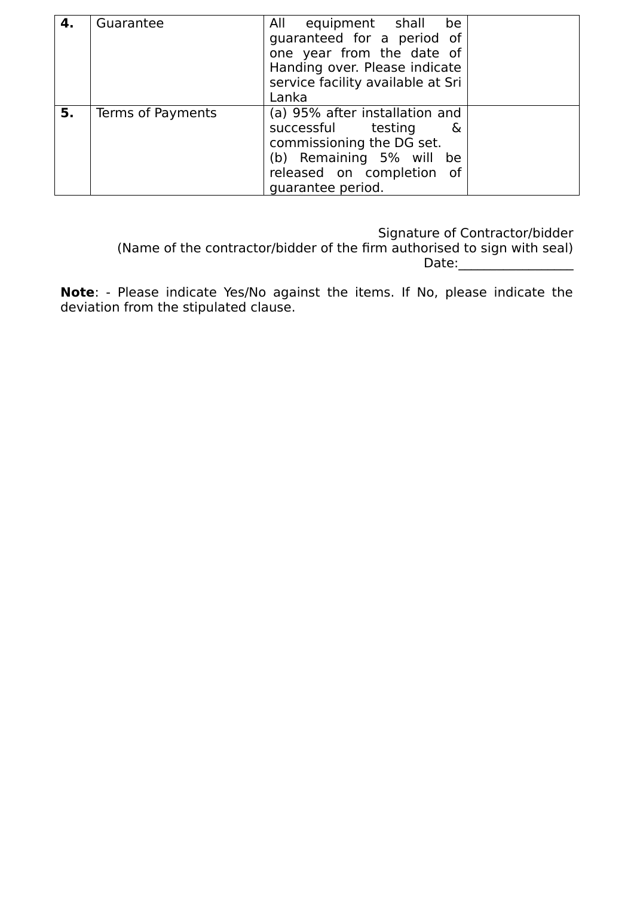| 4. | Guarantee         | All equipment shall be<br>guaranteed for a period of<br>one year from the date of<br>Handing over. Please indicate<br>service facility available at Sri<br>Lanka        |  |
|----|-------------------|-------------------------------------------------------------------------------------------------------------------------------------------------------------------------|--|
| 5. | Terms of Payments | (a) 95% after installation and<br>successful testing<br>&<br>commissioning the DG set.<br>(b) Remaining 5% will<br>be<br>released on completion of<br>guarantee period. |  |

Signature of Contractor/bidder

 (Name of the contractor/bidder of the firm authorised to sign with seal)  $Date:$ 

**Note**: - Please indicate Yes/No against the items. If No, please indicate the deviation from the stipulated clause.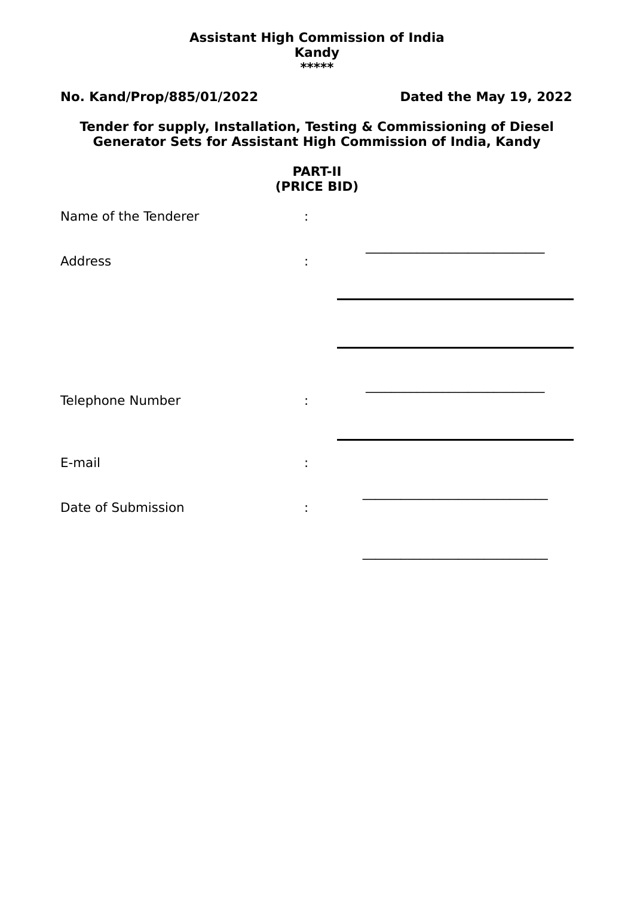#### **Assistant High Commission of India Kandy \*\*\*\*\***

## **No. Kand/Prop/885/01/2022 Dated the May 19, 2022**

 $\mathcal{L}=\mathcal{L}^{\mathcal{L}}$ 

### **Tender for supply, Installation, Testing & Commissioning of Diesel Generator Sets for Assistant High Commission of India, Kandy**

| <b>PART-II</b><br>(PRICE BID) |    |  |  |  |
|-------------------------------|----|--|--|--|
| Name of the Tenderer          | t, |  |  |  |
| <b>Address</b>                | t, |  |  |  |
|                               |    |  |  |  |
| Telephone Number              | ÷  |  |  |  |
| E-mail                        | ٠  |  |  |  |
| Date of Submission            | ÷  |  |  |  |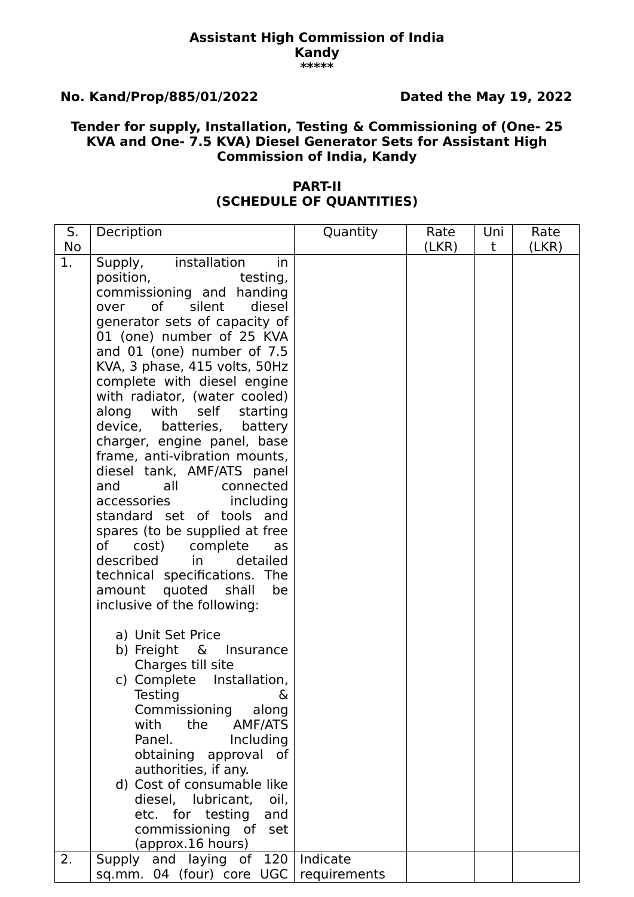#### **Assistant High Commission of India Kandy \*\*\*\*\***

# **No. Kand/Prop/885/01/2022 Dated the May 19, 2022**

## **Tender for supply, Installation, Testing & Commissioning of (One- 25 KVA and One- 7.5 KVA) Diesel Generator Sets for Assistant High Commission of India, Kandy**

### **PART-II (SCHEDULE OF QUANTITIES)**

| S. | Decription                                                                                                                                                                                                                                                                                                                                                                                                                                                                                                                                                                                                                                                                                                                                                                      | Quantity                 | Rate  | Uni | Rate  |
|----|---------------------------------------------------------------------------------------------------------------------------------------------------------------------------------------------------------------------------------------------------------------------------------------------------------------------------------------------------------------------------------------------------------------------------------------------------------------------------------------------------------------------------------------------------------------------------------------------------------------------------------------------------------------------------------------------------------------------------------------------------------------------------------|--------------------------|-------|-----|-------|
| No |                                                                                                                                                                                                                                                                                                                                                                                                                                                                                                                                                                                                                                                                                                                                                                                 |                          | (LKR) | t   | (LKR) |
| 1. | installation<br>Supply,<br>in.<br>testing,<br>position,<br>commissioning and handing<br>diesel<br>0f<br>silent<br>over<br>generator sets of capacity of<br>01 (one) number of 25 KVA<br>and 01 (one) number of 7.5<br>KVA, 3 phase, 415 volts, 50Hz<br>complete with diesel engine<br>with radiator, (water cooled)<br>along with<br>self<br>starting<br>device, batteries, battery<br>charger, engine panel, base<br>frame, anti-vibration mounts,<br>diesel tank, AMF/ATS panel<br>and<br>all<br>connected<br>accessories<br>including<br>standard set of tools and<br>spares (to be supplied at free<br>complete<br>of<br>cost)<br>as<br>described<br>in the set<br>detailed<br>technical specifications. The<br>amount quoted<br>shall<br>be<br>inclusive of the following: |                          |       |     |       |
|    | a) Unit Set Price<br>b) Freight &<br>Insurance<br>Charges till site<br>c) Complete<br>Installation,<br>Testing<br>&<br>Commissioning<br>along<br>with<br>the<br>AMF/ATS<br>Panel.<br>Including<br>obtaining approval of<br>authorities, if any.<br>d) Cost of consumable like<br>diesel, lubricant,<br>oil,<br>etc. for testing<br>and<br>commissioning of<br>set<br>(approx.16 hours)                                                                                                                                                                                                                                                                                                                                                                                          |                          |       |     |       |
| 2. | Supply and laying of 120<br>sq.mm. 04 (four) core UGC                                                                                                                                                                                                                                                                                                                                                                                                                                                                                                                                                                                                                                                                                                                           | Indicate<br>requirements |       |     |       |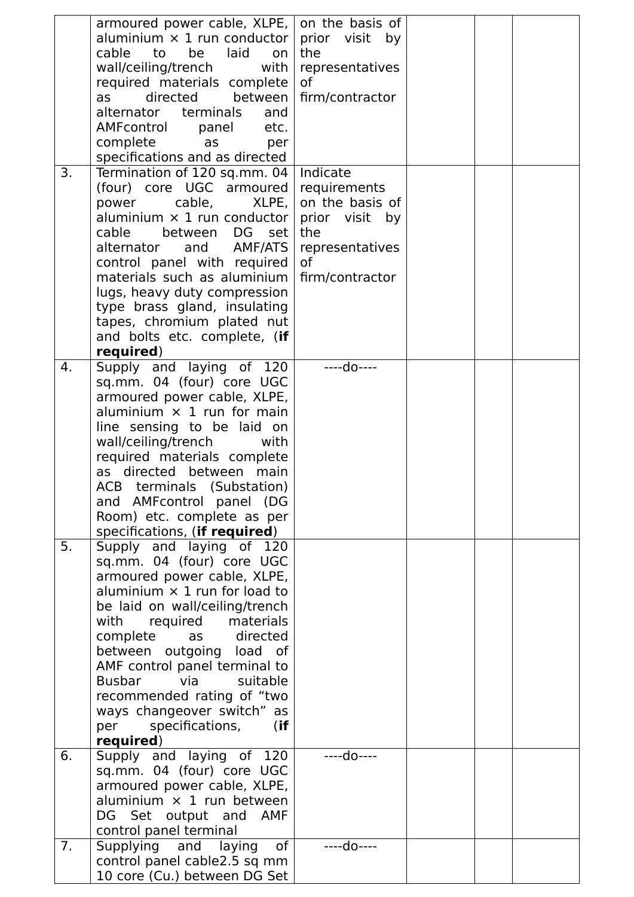|    | armoured power cable, $XLPE$ , on the basis of           |                 |  |  |
|----|----------------------------------------------------------|-----------------|--|--|
|    | aluminium $\times$ 1 run conductor                       | prior visit by  |  |  |
|    | laid<br>cable<br>be<br>to<br>on                          | the             |  |  |
|    | wall/ceiling/trench<br>with                              | representatives |  |  |
|    | required materials complete                              | of              |  |  |
|    | directed<br>between<br>as                                | firm/contractor |  |  |
|    | alternator terminals<br>and                              |                 |  |  |
|    | AMFcontrol<br>etc.<br>panel                              |                 |  |  |
|    | complete<br>as<br>per                                    |                 |  |  |
| 3. | specifications and as directed                           | Indicate        |  |  |
|    | Termination of 120 sq.mm. 04<br>(four) core UGC armoured | requirements    |  |  |
|    | cable,<br>XLPE,<br>power                                 | on the basis of |  |  |
|    | aluminium $\times$ 1 run conductor                       | prior visit by  |  |  |
|    | cable<br>DG<br>between<br>set                            | the             |  |  |
|    | alternator and AMF/ATS                                   | representatives |  |  |
|    | control panel with required                              | of              |  |  |
|    | materials such as aluminium                              | firm/contractor |  |  |
|    | lugs, heavy duty compression                             |                 |  |  |
|    | type brass gland, insulating                             |                 |  |  |
|    | tapes, chromium plated nut                               |                 |  |  |
|    | and bolts etc. complete, (if                             |                 |  |  |
|    | required)                                                |                 |  |  |
| 4. | Supply and laying of 120                                 | ----do----      |  |  |
|    | sq.mm. 04 (four) core UGC                                |                 |  |  |
|    | armoured power cable, XLPE,                              |                 |  |  |
|    | aluminium $\times$ 1 run for main                        |                 |  |  |
|    | line sensing to be laid on                               |                 |  |  |
|    | wall/ceiling/trench<br>with                              |                 |  |  |
|    | required materials complete                              |                 |  |  |
|    | as directed between main<br>ACB terminals (Substation)   |                 |  |  |
|    | and AMFcontrol panel (DG                                 |                 |  |  |
|    | Room) etc. complete as per                               |                 |  |  |
|    | specifications, (if required)                            |                 |  |  |
| 5. | Supply and laying of 120                                 |                 |  |  |
|    | sq.mm. 04 (four) core UGC                                |                 |  |  |
|    | armoured power cable, XLPE,                              |                 |  |  |
|    | aluminium $\times$ 1 run for load to                     |                 |  |  |
|    | be laid on wall/ceiling/trench                           |                 |  |  |
|    | required materials<br>with                               |                 |  |  |
|    | directed<br>complete<br>as                               |                 |  |  |
|    | between outgoing load of                                 |                 |  |  |
|    | AMF control panel terminal to                            |                 |  |  |
|    | <b>Busbar</b><br>suitable<br>via                         |                 |  |  |
|    | recommended rating of "two                               |                 |  |  |
|    | ways changeover switch" as                               |                 |  |  |
|    | specifications,<br>(if)<br>per                           |                 |  |  |
| 6. | required)<br>Supply and laying of 120                    | ----do----      |  |  |
|    | sq.mm. 04 (four) core UGC                                |                 |  |  |
|    | armoured power cable, XLPE,                              |                 |  |  |
|    | aluminium $\times$ 1 run between                         |                 |  |  |
|    | DG Set output and AMF                                    |                 |  |  |
|    | control panel terminal                                   |                 |  |  |
| 7. | of<br>Supplying and laying                               | ----do----      |  |  |
|    | control panel cable2.5 sq mm                             |                 |  |  |
|    | 10 core (Cu.) between DG Set                             |                 |  |  |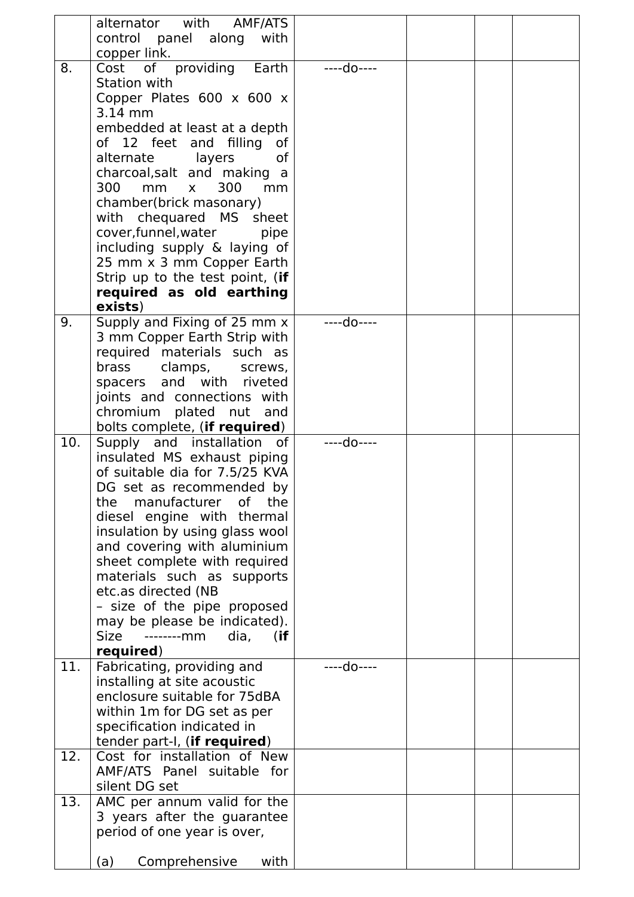|     | alternator with<br>AMF/ATS<br>control panel along<br>with<br>copper link. |            |  |  |
|-----|---------------------------------------------------------------------------|------------|--|--|
| 8.  | Cost of providing Earth                                                   | ----do---- |  |  |
|     | Station with                                                              |            |  |  |
|     | Copper Plates 600 x 600 x<br>3.14 mm                                      |            |  |  |
|     | embedded at least at a depth                                              |            |  |  |
|     | of 12 feet and filling<br>0f                                              |            |  |  |
|     | alternate<br>layers<br>0f                                                 |            |  |  |
|     | charcoal,salt and making a                                                |            |  |  |
|     | 300<br>300<br>mm<br>mm<br>$\mathsf{X}$<br>chamber(brick masonary)         |            |  |  |
|     | with chequared MS sheet                                                   |            |  |  |
|     | cover, funnel, water<br>pipe                                              |            |  |  |
|     | including supply & laying of                                              |            |  |  |
|     | 25 mm x 3 mm Copper Earth                                                 |            |  |  |
|     | Strip up to the test point, (if<br>required as old earthing               |            |  |  |
|     | exists)                                                                   |            |  |  |
| 9.  | Supply and Fixing of 25 mm x                                              | ____do---- |  |  |
|     | 3 mm Copper Earth Strip with                                              |            |  |  |
|     | required materials such as<br>brass clamps, screws,                       |            |  |  |
|     | spacers and with riveted                                                  |            |  |  |
|     | joints and connections with                                               |            |  |  |
|     | chromium plated nut and                                                   |            |  |  |
| 10. | bolts complete, (if required)<br>Supply and installation of               | ----do---- |  |  |
|     | insulated MS exhaust piping                                               |            |  |  |
|     | of suitable dia for 7.5/25 KVA                                            |            |  |  |
|     | DG set as recommended by                                                  |            |  |  |
|     | manufacturer of<br>the<br>the<br>diesel engine with thermal               |            |  |  |
|     | insulation by using glass wool                                            |            |  |  |
|     | and covering with aluminium                                               |            |  |  |
|     | sheet complete with required                                              |            |  |  |
|     | materials such as supports                                                |            |  |  |
|     | etc.as directed (NB<br>- size of the pipe proposed                        |            |  |  |
|     | may be please be indicated).                                              |            |  |  |
|     | Size<br>dia,<br>(if<br>--------mm                                         |            |  |  |
|     | required)                                                                 | ----do---- |  |  |
| 11. | Fabricating, providing and<br>installing at site acoustic                 |            |  |  |
|     | enclosure suitable for 75dBA                                              |            |  |  |
|     | within 1m for DG set as per                                               |            |  |  |
|     | specification indicated in                                                |            |  |  |
| 12. | tender part-I, (if required)<br>Cost for installation of New              |            |  |  |
|     | AMF/ATS Panel suitable for                                                |            |  |  |
|     | silent DG set                                                             |            |  |  |
| 13. | AMC per annum valid for the                                               |            |  |  |
|     | 3 years after the guarantee                                               |            |  |  |
|     | period of one year is over,                                               |            |  |  |
|     | Comprehensive<br>with<br>(a)                                              |            |  |  |